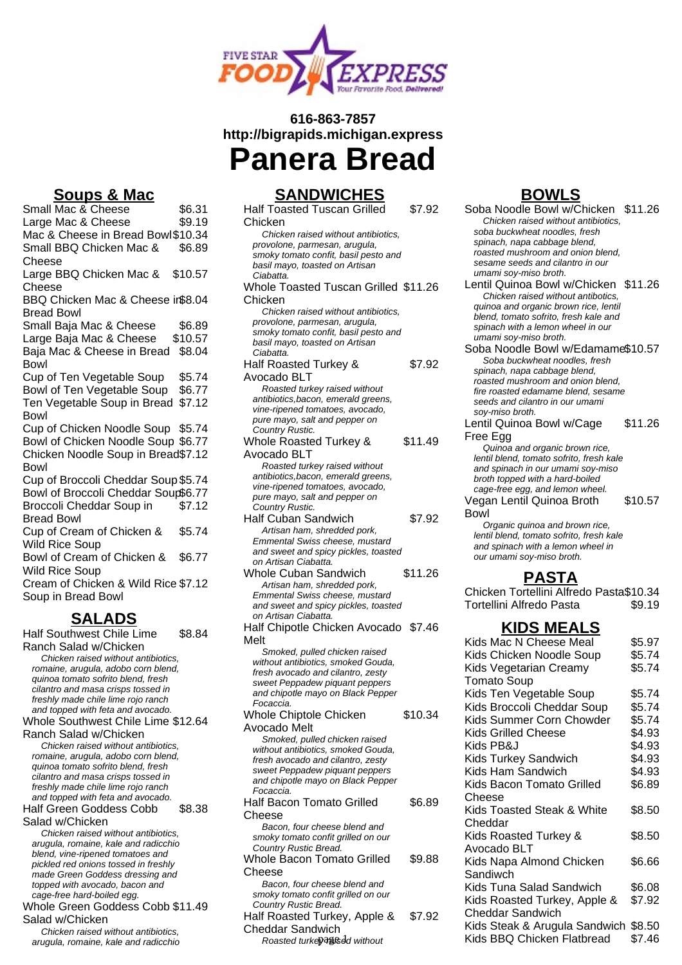

# **616-863-7857 http://bigrapids.michigan.express**



### **Soups & Mac**

Small Mac & Cheese \$6.31<br>Large Mac & Cheese \$9.19 Large Mac & Cheese Mac & Cheese in Bread Bowl\$10.34 Small BBQ Chicken Mac & Cheese \$6.89 Large BBQ Chicken Mac & Cheese \$10.57 BBQ Chicken Mac & Cheese in \$8.04 Bread Bowl Small Baja Mac & Cheese \$6.89 Large Baja Mac & Cheese \$10.57 Baja Mac & Cheese in Bread \$8.04 **Bowl** Cup of Ten Vegetable Soup \$5.74 Bowl of Ten Vegetable Soup \$6.77 Ten Vegetable Soup in Bread \$7.12 Bowl Cup of Chicken Noodle Soup \$5.74 Bowl of Chicken Noodle Soup \$6.77 Chicken Noodle Soup in Bread \$7.12 Bowl Cup of Broccoli Cheddar Soup \$5.74 Bowl of Broccoli Cheddar Soup\$6.77 Broccoli Cheddar Soup in Bread Bowl \$7.12 Cup of Cream of Chicken & Wild Rice Soup \$5.74 Bowl of Cream of Chicken & Wild Rice Soup \$6.77 Cream of Chicken & Wild Rice \$7.12 Soup in Bread Bowl

#### **SALADS**

Half Southwest Chile Lime Ranch Salad w/Chicken \$8.84 Chicken raised without antibiotics, romaine, arugula, adobo corn blend, quinoa tomato sofrito blend, fresh cilantro and masa crisps tossed in freshly made chile lime rojo ranch and topped with feta and avocado. Whole Southwest Chile Lime \$12.64 Ranch Salad w/Chicken Chicken raised without antibiotics, romaine, arugula, adobo corn blend, quinoa tomato sofrito blend, fresh cilantro and masa crisps tossed in freshly made chile lime rojo ranch and topped with feta and avocado. Half Green Goddess Cobb Salad w/Chicken \$8.38 Chicken raised without antibiotics, arugula, romaine, kale and radicchio blend, vine-ripened tomatoes and pickled red onions tossed in freshly made Green Goddess dressing and topped with avocado, bacon and cage-free hard-boiled egg. Whole Green Goddess Cobb \$11.49 Salad w/Chicken Chicken raised without antibiotics, arugula, romaine, kale and radicchio

### **SANDWICHES**

Half Toasted Tuscan Grilled Chicken \$7.92 Chicken raised without antibiotics, provolone, parmesan, arugula, smoky tomato confit, basil pesto and basil mayo, toasted on Artisan Ciabatta. Whole Toasted Tuscan Grilled \$11.26 Chicken Chicken raised without antibiotics, provolone, parmesan, arugula, smoky tomato confit, basil pesto and basil mayo, toasted on Artisan Ciabatta. Half Roasted Turkey & Avocado BLT \$7.92 Roasted turkey raised without antibiotics,bacon, emerald greens, vine-ripened tomatoes, avocado, pure mayo, salt and pepper on Country Rustic. Whole Roasted Turkey & Avocado BLT \$11.49 Roasted turkey raised without antibiotics,bacon, emerald greens, vine-ripened tomatoes, avocado, pure mayo, salt and pepper on Country Rustic. Half Cuban Sandwich \$7.92 Artisan ham, shredded pork, Emmental Swiss cheese, mustard and sweet and spicy pickles, toasted on Artisan Ciabatta. Whole Cuban Sandwich \$11.26 Artisan ham, shredded pork, Emmental Swiss cheese, mustard and sweet and spicy pickles, toasted on Artisan Ciabatta. Half Chipotle Chicken Avocado \$7.46 Melt Smoked, pulled chicken raised without antibiotics, smoked Gouda, fresh avocado and cilantro, zesty sweet Peppadew piquant peppers and chipotle mayo on Black Pepper Focaccia. Whole Chiptole Chicken Avocado Melt \$10.34 Smoked, pulled chicken raised without antibiotics, smoked Gouda, fresh avocado and cilantro, zesty sweet Peppadew piquant peppers and chipotle mayo on Black Pepper Focaccia. Half Bacon Tomato Grilled Cheese \$6.89 Bacon, four cheese blend and smoky tomato confit grilled on our Country Rustic Bread. Whole Bacon Tomato Grilled Cheese \$9.88 Bacon, four cheese blend and smoky tomato confit grilled on our Country Rustic Bread. Half Roasted Turkey, Apple & Cheddar Sandwich \$7.92

## **BOWLS**

- Soba Noodle Bowl w/Chicken \$11.26 Chicken raised without antibiotics, soba buckwheat noodles, fresh spinach, napa cabbage blend, roasted mushroom and onion blend, sesame seeds and cilantro in our umami soy-miso broth.
- Lentil Quinoa Bowl w/Chicken \$11.26 Chicken raised without antibotics, quinoa and organic brown rice, lentil blend, tomato sofrito, fresh kale and spinach with a lemon wheel in our umami soy-miso broth.
- Soba Noodle Bowl w/Edamame\$10.57 Soba buckwheat noodles, fresh spinach, napa cabbage blend, roasted mushroom and onion blend, fire roasted edamame blend, sesame seeds and cilantro in our umami soy-miso broth.
- Lentil Quinoa Bowl w/Cage Free Egg \$11.26

Quinoa and organic brown rice, lentil blend, tomato sofrito, fresh kale and spinach in our umami soy-miso broth topped with a hard-boiled cage-free egg, and lemon wheel.

Vegan Lentil Quinoa Broth Bowl \$10.57

Organic quinoa and brown rice, lentil blend, tomato sofrito, fresh kale and spinach with a lemon wheel in our umami soy-miso broth.

### **PASTA**

Chicken Tortellini Alfredo Pasta\$10.34 Tortellini Alfredo Pasta  $$9.19$ 

#### **KIDS MEALS**

| t                                                                   |         | Kids Mac N Cheese Meal               | \$5.97 |
|---------------------------------------------------------------------|---------|--------------------------------------|--------|
| Smoked, pulled chicken raised                                       |         | Kids Chicken Noodle Soup             | \$5.74 |
| thout antibiotics, smoked Gouda,<br>esh avocado and cilantro, zesty |         | Kids Vegetarian Creamy               | \$5.74 |
| veet Peppadew piquant peppers                                       |         | <b>Tomato Soup</b>                   |        |
| id chipotle mayo on Black Pepper                                    |         | Kids Ten Vegetable Soup              | \$5.74 |
| ocaccia.                                                            |         | Kids Broccoli Cheddar Soup           | \$5.74 |
| ole Chiptole Chicken                                                | \$10.34 | Kids Summer Corn Chowder             | \$5.74 |
| cado Melt<br>Smoked, pulled chicken raised                          |         | Kids Grilled Cheese                  | \$4.93 |
| thout antibiotics, smoked Gouda,                                    |         | Kids PB&J                            | \$4.93 |
| sh avocado and cilantro, zesty                                      |         | <b>Kids Turkey Sandwich</b>          | \$4.93 |
| veet Peppadew piquant peppers                                       |         | Kids Ham Sandwich                    | \$4.93 |
| ıd chipotle mayo on Black Pepper<br>ocaccia.                        |         | Kids Bacon Tomato Grilled            | \$6.89 |
| f Bacon Tomato Grilled                                              | \$6.89  | Cheese                               |        |
| ese                                                                 |         | Kids Toasted Steak & White           | \$8.50 |
| Bacon, four cheese blend and                                        |         | Cheddar                              |        |
| noky tomato confit grilled on our                                   |         | Kids Roasted Turkey &                | \$8.50 |
| ountry Rustic Bread.                                                |         | Avocado BLT                          |        |
| ole Bacon Tomato Grilled                                            | \$9.88  | Kids Napa Almond Chicken             | \$6.66 |
| ese                                                                 |         | Sandiwch                             |        |
| Bacon, four cheese blend and<br>noky tomato confit grilled on our   |         | Kids Tuna Salad Sandwich             | \$6.08 |
| ountry Rustic Bread.                                                |         | Kids Roasted Turkey, Apple &         | \$7.92 |
| f Roasted Turkey, Apple &                                           | \$7.92  | <b>Cheddar Sandwich</b>              |        |
| eddar Sandwich                                                      |         | Kids Steak & Arugula Sandwich \$8.50 |        |
| Roasted turkeyagnsed without                                        |         | Kids BBQ Chicken Flatbread           | \$7.46 |
|                                                                     |         |                                      |        |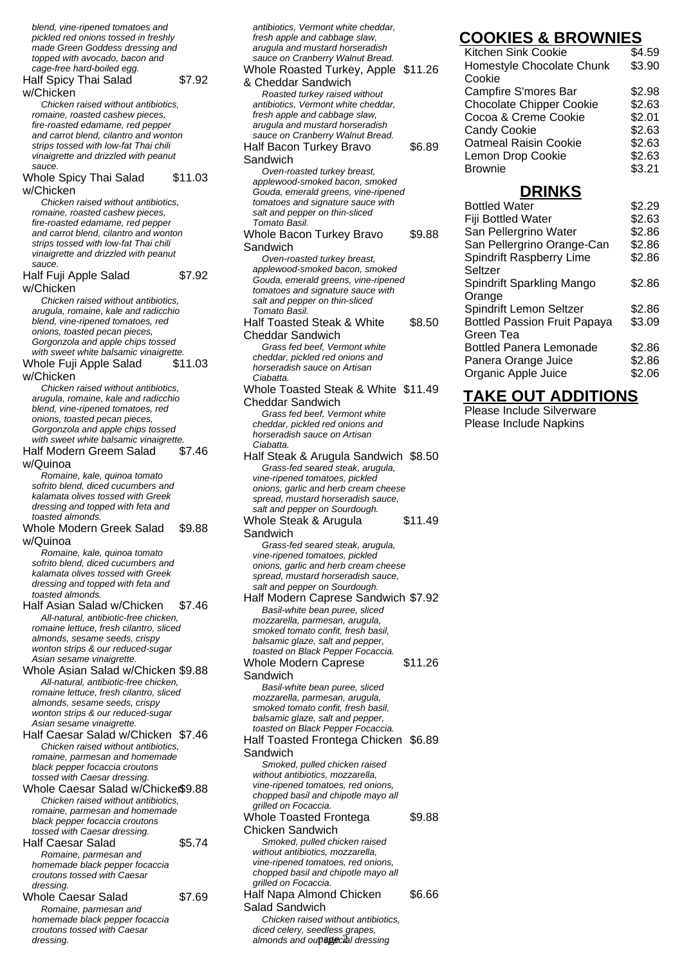blend, vine-ripened tomatoes and pickled red onions tossed in freshly made Green Goddess dressing and topped with avocado, bacon and cage-free hard-boiled egg. Half Spicy Thai Salad w/Chicken \$7.92 Chicken raised without antibiotics, romaine, roasted cashew pieces, fire-roasted edamame, red pepper and carrot blend, cilantro and wonton strips tossed with low-fat Thai chili vinaigrette and drizzled with peanut sauce. Whole Spicy Thai Salad w/Chicken \$11.03 Chicken raised without antibiotics, romaine, roasted cashew pieces, fire-roasted edamame, red pepper and carrot blend, cilantro and wonton strips tossed with low-fat Thai chili vinaigrette and drizzled with peanut sauce. Half Fuji Apple Salad w/Chicken \$7.92 Chicken raised without antibiotics, arugula, romaine, kale and radicchio blend, vine-ripened tomatoes, red onions, toasted pecan pieces, Gorgonzola and apple chips tossed with sweet white balsamic vinaigrette. Whole Fuji Apple Salad w/Chicken \$11.03 Chicken raised without antibiotics, arugula, romaine, kale and radicchio blend, vine-ripened tomatoes, red onions, toasted pecan pieces, Gorgonzola and apple chips tossed with sweet white balsamic vinaigrette. Half Modern Greem Salad w/Quinoa \$7.46 Romaine, kale, quinoa tomato sofrito blend, diced cucumbers and kalamata olives tossed with Greek dressing and topped with feta and toasted almonds. Whole Modern Greek Salad w/Quinoa \$9.88 Romaine, kale, quinoa tomato sofrito blend, diced cucumbers and kalamata olives tossed with Greek dressing and topped with feta and toasted almonds. Half Asian Salad w/Chicken \$7.46 All-natural, antibiotic-free chicken, romaine lettuce, fresh cilantro, sliced almonds, sesame seeds, crispy wonton strips & our reduced-sugar Asian sesame vinaigrette. Whole Asian Salad w/Chicken \$9.88 All-natural, antibiotic-free chicken, romaine lettuce, fresh cilantro, sliced almonds, sesame seeds, crispy wonton strips & our reduced-sugar Asian sesame vinaigrette. Half Caesar Salad w/Chicken \$7.46 Chicken raised without antibiotics, romaine, parmesan and homemade black pepper focaccia croutons tossed with Caesar dressing. Whole Caesar Salad w/Chicker\$9.88 Chicken raised without antibiotics, romaine, parmesan and homemade black pepper focaccia croutons tossed with Caesar dressing. Half Caesar Salad \$5.74 Romaine, parmesan and homemade black pepper focaccia croutons tossed with Caesar dressing. Whole Caesar Salad \$7.69 Romaine, parmesan and homemade black pepper focaccia croutons tossed with Caesar

dressing.

arugula and mustard horseradish sauce on Cranberry Walnut Bread. Whole Roasted Turkey, Apple \$11.26 & Cheddar Sandwich Roasted turkey raised without antibiotics, Vermont white cheddar, fresh apple and cabbage slaw, arugula and mustard horseradish sauce on Cranberry Walnut Bread. Half Bacon Turkey Bravo Sandwich \$6.89 Oven-roasted turkey breast, applewood-smoked bacon, smoked Gouda, emerald greens, vine-ripened tomatoes and signature sauce with salt and pepper on thin-sliced Tomato Basil. Whole Bacon Turkey Bravo Sandwich \$9.88 Oven-roasted turkey breast, applewood-smoked bacon, smoked Gouda, emerald greens, vine-ripened tomatoes and signature sauce with salt and pepper on thin-sliced Tomato Basil. Half Toasted Steak & White Cheddar Sandwich \$8.50 Grass fed beef, Vermont white cheddar, pickled red onions and horseradish sauce on Artisan **Ciabatta** Whole Toasted Steak & White \$11.49 Cheddar Sandwich Grass fed beef, Vermont white cheddar, pickled red onions and horseradish sauce on Artisan Ciabatta. Half Steak & Arugula Sandwich \$8.50 Grass-fed seared steak, arugula, vine-ripened tomatoes, pickled onions, garlic and herb cream cheese spread, mustard horseradish sauce, salt and pepper on Sourdough. Whole Steak & Arugula Sandwich \$11.49 Grass-fed seared steak, arugula, vine-ripened tomatoes, pickled onions, garlic and herb cream cheese spread, mustard horseradish sauce, salt and pepper on Sourdough. Half Modern Caprese Sandwich \$7.92 Basil-white bean puree, sliced mozzarella, parmesan, arugula, smoked tomato confit, fresh basil, balsamic glaze, salt and pepper, toasted on Black Pepper Focaccia. Whole Modern Caprese Sandwich \$11.26 Basil-white bean puree, sliced mozzarella, parmesan, arugula, smoked tomato confit, fresh basil, balsamic glaze, salt and pepper, toasted on Black Pepper Focaccia. Half Toasted Frontega Chicken \$6.89 **Sandwich** Smoked, pulled chicken raised without antibiotics, mozzarella, vine-ripened tomatoes, red onions, chopped basil and chipotle mayo all grilled on Focaccia. Whole Toasted Frontega Chicken Sandwich \$9.88 Smoked, pulled chicken raised without antibiotics, mozzarella, vine-ripened tomatoes, red onions, chopped basil and chipotle mayo all grilled on Focaccia. Half Napa Almond Chicken Salad Sandwich \$6.66 Chicken raised without antibiotics, diced celery, seedless grapes, almonds and oupagecial dressing

antibiotics, Vermont white cheddar, fresh apple and cabbage slaw,

## **COOKIES & BROWNIES**

| Kitchen Sink Cookie             | \$4.59 |
|---------------------------------|--------|
| Homestyle Chocolate Chunk       | \$3.90 |
| Cookie                          |        |
| Campfire S'mores Bar            | \$2.98 |
| <b>Chocolate Chipper Cookie</b> | \$2.63 |
| Cocoa & Creme Cookie            | \$2.01 |
| <b>Candy Cookie</b>             | \$2.63 |
| <b>Oatmeal Raisin Cookie</b>    | \$2.63 |
| Lemon Drop Cookie               | \$2.63 |
| <b>Brownie</b>                  | \$3.21 |

## **DRINKS**

| <b>Bottled Water</b>                | \$2.29 |
|-------------------------------------|--------|
| Fiji Bottled Water                  | \$2.63 |
| San Pellergrino Water               | \$2.86 |
| San Pellergrino Orange-Can          | \$2.86 |
| Spindrift Raspberry Lime            | \$2.86 |
| Seltzer                             |        |
| Spindrift Sparkling Mango           | \$2.86 |
| Orange                              |        |
| Spindrift Lemon Seltzer             | \$2.86 |
| <b>Bottled Passion Fruit Papaya</b> | \$3.09 |
| Green Tea                           |        |
| <b>Bottled Panera Lemonade</b>      | \$2.86 |
| Panera Orange Juice                 | \$2.86 |
| Organic Apple Juice                 | \$2.06 |

## **TAKE OUT ADDITIONS**

Please Include Silverware Please Include Napkins